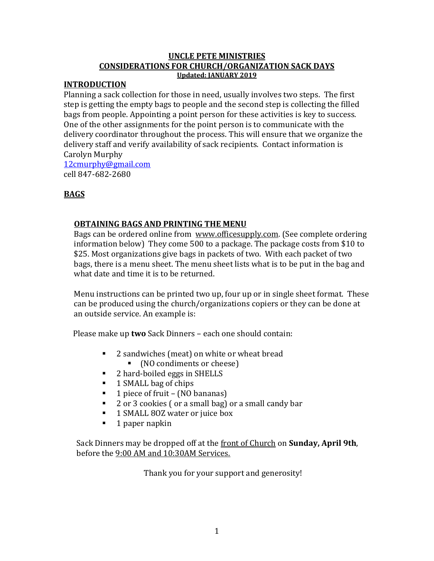## **UNCLE PETE MINISTRIES CONSIDERATIONS FOR CHURCH/ORGANIZATION SACK DAYS Updated: JANUARY 2019**

### **INTRODUCTION**

Planning a sack collection for those in need, usually involves two steps. The first step is getting the empty bags to people and the second step is collecting the filled bags from people. Appointing a point person for these activities is key to success. One of the other assignments for the point person is to communicate with the delivery coordinator throughout the process. This will ensure that we organize the delivery staff and verify availability of sack recipients. Contact information is Carolyn Murphy

[12cmurphy@gmail.com](mailto:12cmurphy@gmail.com) cell 847-682-2680

# **BAGS**

## **OBTAINING BAGS AND PRINTING THE MENU**

Bags can be ordered online from [www.officesupply.com.](http://www.officesupply.com/) (See complete ordering information below) They come 500 to a package. The package costs from \$10 to \$25. Most organizations give bags in packets of two. With each packet of two bags, there is a menu sheet. The menu sheet lists what is to be put in the bag and what date and time it is to be returned.

Menu instructions can be printed two up, four up or in single sheet format. These can be produced using the church/organizations copiers or they can be done at an outside service. An example is:

Please make up **two** Sack Dinners – each one should contain:

- 2 sandwiches (meat) on white or wheat bread
	- (NO condiments or cheese)
- 2 hard-boiled eggs in SHELLS
- 1 SMALL bag of chips
- 1 piece of fruit (NO bananas)
- 2 or 3 cookies (or a small bag) or a small candy bar
- 1 SMALL 80Z water or juice box
- 1 paper napkin

Sack Dinners may be dropped off at the front of Church on **Sunday, April 9th**, before the 9:00 AM and 10:30AM Services.

Thank you for your support and generosity!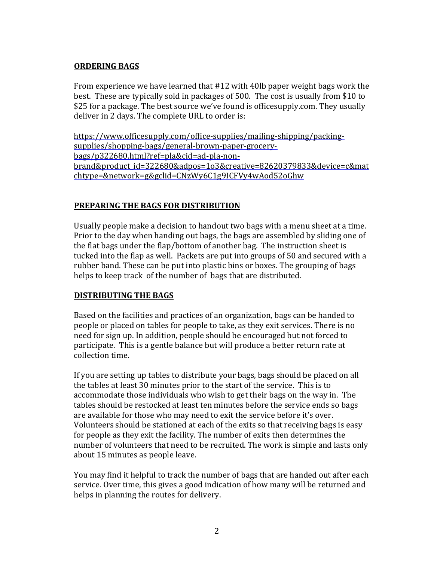## **ORDERING BAGS**

From experience we have learned that #12 with 40lb paper weight bags work the best. These are typically sold in packages of 500. The cost is usually from \$10 to \$25 for a package. The best source we've found is officesupply.com. They usually deliver in 2 days. The complete URL to order is:

[https://www.officesupply.com/office-supplies/mailing-shipping/packing](https://www.officesupply.com/office-supplies/mailing-shipping/packing-supplies/shopping-bags/general-brown-paper-grocery-bags/p322680.html?ref=pla&cid=ad-pla-non-brand&product_id=322680&adpos=1o3&creative=82620379833&device=c&matchtype=&network=g&gclid=CNzWy6C1g9ICFVy4wAod52oGhw)[supplies/shopping-bags/general-brown-paper-grocery](https://www.officesupply.com/office-supplies/mailing-shipping/packing-supplies/shopping-bags/general-brown-paper-grocery-bags/p322680.html?ref=pla&cid=ad-pla-non-brand&product_id=322680&adpos=1o3&creative=82620379833&device=c&matchtype=&network=g&gclid=CNzWy6C1g9ICFVy4wAod52oGhw)[bags/p322680.html?ref=pla&cid=ad-pla-non](https://www.officesupply.com/office-supplies/mailing-shipping/packing-supplies/shopping-bags/general-brown-paper-grocery-bags/p322680.html?ref=pla&cid=ad-pla-non-brand&product_id=322680&adpos=1o3&creative=82620379833&device=c&matchtype=&network=g&gclid=CNzWy6C1g9ICFVy4wAod52oGhw)[brand&product\\_id=322680&adpos=1o3&creative=82620379833&device=c&mat](https://www.officesupply.com/office-supplies/mailing-shipping/packing-supplies/shopping-bags/general-brown-paper-grocery-bags/p322680.html?ref=pla&cid=ad-pla-non-brand&product_id=322680&adpos=1o3&creative=82620379833&device=c&matchtype=&network=g&gclid=CNzWy6C1g9ICFVy4wAod52oGhw) [chtype=&network=g&gclid=CNzWy6C1g9ICFVy4wAod52oGhw](https://www.officesupply.com/office-supplies/mailing-shipping/packing-supplies/shopping-bags/general-brown-paper-grocery-bags/p322680.html?ref=pla&cid=ad-pla-non-brand&product_id=322680&adpos=1o3&creative=82620379833&device=c&matchtype=&network=g&gclid=CNzWy6C1g9ICFVy4wAod52oGhw)

## **PREPARING THE BAGS FOR DISTRIBUTION**

Usually people make a decision to handout two bags with a menu sheet at a time. Prior to the day when handing out bags, the bags are assembled by sliding one of the flat bags under the flap/bottom of another bag. The instruction sheet is tucked into the flap as well. Packets are put into groups of 50 and secured with a rubber band. These can be put into plastic bins or boxes. The grouping of bags helps to keep track of the number of bags that are distributed.

## **DISTRIBUTING THE BAGS**

Based on the facilities and practices of an organization, bags can be handed to people or placed on tables for people to take, as they exit services. There is no need for sign up. In addition, people should be encouraged but not forced to participate. This is a gentle balance but will produce a better return rate at collection time.

If you are setting up tables to distribute your bags, bags should be placed on all the tables at least 30 minutes prior to the start of the service. This is to accommodate those individuals who wish to get their bags on the way in. The tables should be restocked at least ten minutes before the service ends so bags are available for those who may need to exit the service before it's over. Volunteers should be stationed at each of the exits so that receiving bags is easy for people as they exit the facility. The number of exits then determines the number of volunteers that need to be recruited. The work is simple and lasts only about 15 minutes as people leave.

You may find it helpful to track the number of bags that are handed out after each service. Over time, this gives a good indication of how many will be returned and helps in planning the routes for delivery.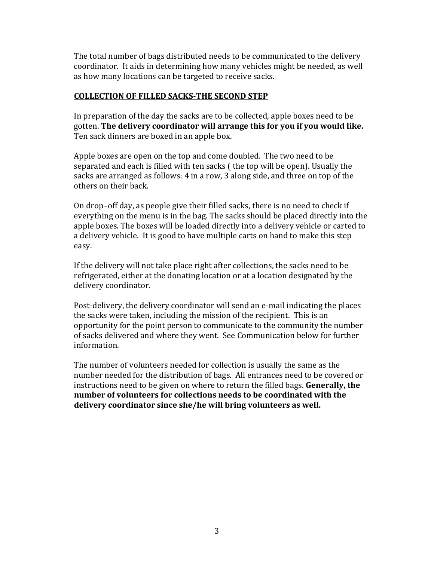The total number of bags distributed needs to be communicated to the delivery coordinator. It aids in determining how many vehicles might be needed, as well as how many locations can be targeted to receive sacks.

## **COLLECTION OF FILLED SACKS-THE SECOND STEP**

In preparation of the day the sacks are to be collected, apple boxes need to be gotten. **The delivery coordinator will arrange this for you if you would like.**  Ten sack dinners are boxed in an apple box.

Apple boxes are open on the top and come doubled. The two need to be separated and each is filled with ten sacks ( the top will be open). Usually the sacks are arranged as follows: 4 in a row, 3 along side, and three on top of the others on their back.

On drop–off day, as people give their filled sacks, there is no need to check if everything on the menu is in the bag. The sacks should be placed directly into the apple boxes. The boxes will be loaded directly into a delivery vehicle or carted to a delivery vehicle. It is good to have multiple carts on hand to make this step easy.

If the delivery will not take place right after collections, the sacks need to be refrigerated, either at the donating location or at a location designated by the delivery coordinator.

Post-delivery, the delivery coordinator will send an e-mail indicating the places the sacks were taken, including the mission of the recipient. This is an opportunity for the point person to communicate to the community the number of sacks delivered and where they went. See Communication below for further information.

The number of volunteers needed for collection is usually the same as the number needed for the distribution of bags. All entrances need to be covered or instructions need to be given on where to return the filled bags. **Generally, the number of volunteers for collections needs to be coordinated with the delivery coordinator since she/he will bring volunteers as well.**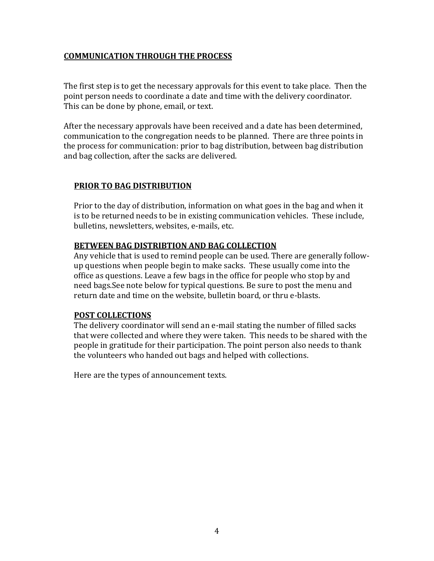## **COMMUNICATION THROUGH THE PROCESS**

The first step is to get the necessary approvals for this event to take place. Then the point person needs to coordinate a date and time with the delivery coordinator. This can be done by phone, email, or text.

After the necessary approvals have been received and a date has been determined, communication to the congregation needs to be planned. There are three points in the process for communication: prior to bag distribution, between bag distribution and bag collection, after the sacks are delivered.

## **PRIOR TO BAG DISTRIBUTION**

Prior to the day of distribution, information on what goes in the bag and when it is to be returned needs to be in existing communication vehicles. These include, bulletins, newsletters, websites, e-mails, etc.

## **BETWEEN BAG DISTRIBTION AND BAG COLLECTION**

Any vehicle that is used to remind people can be used. There are generally followup questions when people begin to make sacks. These usually come into the office as questions. Leave a few bags in the office for people who stop by and need bags.See note below for typical questions. Be sure to post the menu and return date and time on the website, bulletin board, or thru e-blasts.

## **POST COLLECTIONS**

The delivery coordinator will send an e-mail stating the number of filled sacks that were collected and where they were taken. This needs to be shared with the people in gratitude for their participation. The point person also needs to thank the volunteers who handed out bags and helped with collections.

Here are the types of announcement texts.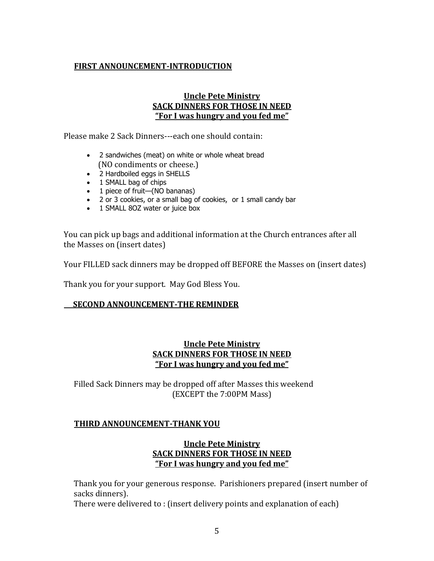## **FIRST ANNOUNCEMENT-INTRODUCTION**

## **Uncle Pete Ministry SACK DINNERS FOR THOSE IN NEED "For I was hungry and you fed me"**

Please make 2 Sack Dinners---each one should contain:

- 2 sandwiches (meat) on white or whole wheat bread (NO condiments or cheese.)
- 2 Hardboiled eggs in SHELLS
- 1 SMALL bag of chips
- 1 piece of fruit—(NO bananas)
- 2 or 3 cookies, or a small bag of cookies, or 1 small candy bar
- 1 SMALL 8OZ water or juice box

You can pick up bags and additional information at the Church entrances after all the Masses on (insert dates)

Your FILLED sack dinners may be dropped off BEFORE the Masses on (insert dates)

Thank you for your support. May God Bless You.

### **SECOND ANNOUNCEMENT-THE REMINDER**

## **Uncle Pete Ministry SACK DINNERS FOR THOSE IN NEED "For I was hungry and you fed me"**

Filled Sack Dinners may be dropped off after Masses this weekend (EXCEPT the 7:00PM Mass)

## **THIRD ANNOUNCEMENT-THANK YOU**

### **Uncle Pete Ministry SACK DINNERS FOR THOSE IN NEED "For I was hungry and you fed me"**

Thank you for your generous response. Parishioners prepared (insert number of sacks dinners).

There were delivered to : (insert delivery points and explanation of each)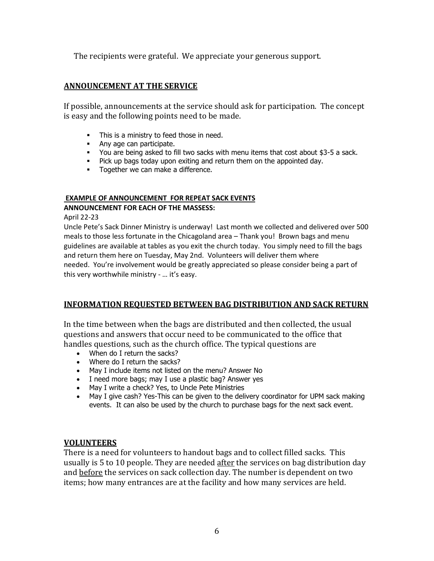The recipients were grateful. We appreciate your generous support.

### **ANNOUNCEMENT AT THE SERVICE**

If possible, announcements at the service should ask for participation. The concept is easy and the following points need to be made.

- **•** This is a ministry to feed those in need.
- **■** Any age can participate.
- You are being asked to fill two sacks with menu items that cost about \$3-5 a sack.
- Pick up bags today upon exiting and return them on the appointed day.
- **•** Together we can make a difference.

### **EXAMPLE OF ANNOUNCEMENT FOR REPEAT SACK EVENTS**

#### **ANNOUNCEMENT FOR EACH OF THE MASSESS:**

April 22-23

Uncle Pete's Sack Dinner Ministry is underway! Last month we collected and delivered over 500 meals to those less fortunate in the Chicagoland area – Thank you! Brown bags and menu guidelines are available at tables as you exit the church today. You simply need to fill the bags and return them here on Tuesday, May 2nd. Volunteers will deliver them where needed. You're involvement would be greatly appreciated so please consider being a part of this very worthwhile ministry - … it's easy.

## **INFORMATION REQUESTED BETWEEN BAG DISTRIBUTION AND SACK RETURN**

In the time between when the bags are distributed and then collected, the usual questions and answers that occur need to be communicated to the office that handles questions, such as the church office. The typical questions are

- When do I return the sacks?
- Where do I return the sacks?
- May I include items not listed on the menu? Answer No
- I need more bags; may I use a plastic bag? Answer yes
- May I write a check? Yes, to Uncle Pete Ministries
- May I give cash? Yes-This can be given to the delivery coordinator for UPM sack making events. It can also be used by the church to purchase bags for the next sack event.

### **VOLUNTEERS**

There is a need for volunteers to handout bags and to collect filled sacks. This usually is 5 to 10 people. They are needed after the services on bag distribution day and before the services on sack collection day. The number is dependent on two items; how many entrances are at the facility and how many services are held.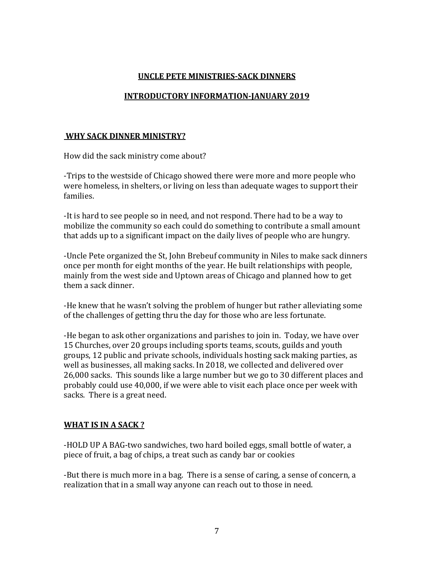# **UNCLE PETE MINISTRIES-SACK DINNERS**

## **INTRODUCTORY INFORMATION-JANUARY 2019**

### **WHY SACK DINNER MINISTRY?**

How did the sack ministry come about?

-Trips to the westside of Chicago showed there were more and more people who were homeless, in shelters, or living on less than adequate wages to support their families.

-It is hard to see people so in need, and not respond. There had to be a way to mobilize the community so each could do something to contribute a small amount that adds up to a significant impact on the daily lives of people who are hungry.

-Uncle Pete organized the St, John Brebeuf community in Niles to make sack dinners once per month for eight months of the year. He built relationships with people, mainly from the west side and Uptown areas of Chicago and planned how to get them a sack dinner.

-He knew that he wasn't solving the problem of hunger but rather alleviating some of the challenges of getting thru the day for those who are less fortunate.

-He began to ask other organizations and parishes to join in. Today, we have over 15 Churches, over 20 groups including sports teams, scouts, guilds and youth groups, 12 public and private schools, individuals hosting sack making parties, as well as businesses, all making sacks. In 2018, we collected and delivered over 26,000 sacks. This sounds like a large number but we go to 30 different places and probably could use 40,000, if we were able to visit each place once per week with sacks. There is a great need.

## **WHAT IS IN A SACK ?**

-HOLD UP A BAG-two sandwiches, two hard boiled eggs, small bottle of water, a piece of fruit, a bag of chips, a treat such as candy bar or cookies

-But there is much more in a bag. There is a sense of caring, a sense of concern, a realization that in a small way anyone can reach out to those in need.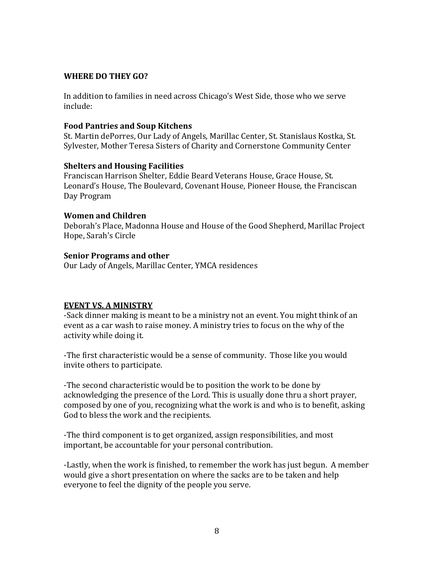### **WHERE DO THEY GO?**

In addition to families in need across Chicago's West Side, those who we serve include:

### **Food Pantries and Soup Kitchens**

St. Martin dePorres, Our Lady of Angels, Marillac Center, St. Stanislaus Kostka, St. Sylvester, Mother Teresa Sisters of Charity and Cornerstone Community Center

### **Shelters and Housing Facilities**

Franciscan Harrison Shelter, Eddie Beard Veterans House, Grace House, St. Leonard's House, The Boulevard, Covenant House, Pioneer House, the Franciscan Day Program

## **Women and Children**

Deborah's Place, Madonna House and House of the Good Shepherd, Marillac Project Hope, Sarah's Circle

### **Senior Programs and other**

Our Lady of Angels, Marillac Center, YMCA residences

## **EVENT VS. A MINISTRY**

-Sack dinner making is meant to be a ministry not an event. You might think of an event as a car wash to raise money. A ministry tries to focus on the why of the activity while doing it.

-The first characteristic would be a sense of community. Those like you would invite others to participate.

-The second characteristic would be to position the work to be done by acknowledging the presence of the Lord. This is usually done thru a short prayer, composed by one of you, recognizing what the work is and who is to benefit, asking God to bless the work and the recipients.

-The third component is to get organized, assign responsibilities, and most important, be accountable for your personal contribution.

-Lastly, when the work is finished, to remember the work has just begun. A member would give a short presentation on where the sacks are to be taken and help everyone to feel the dignity of the people you serve.